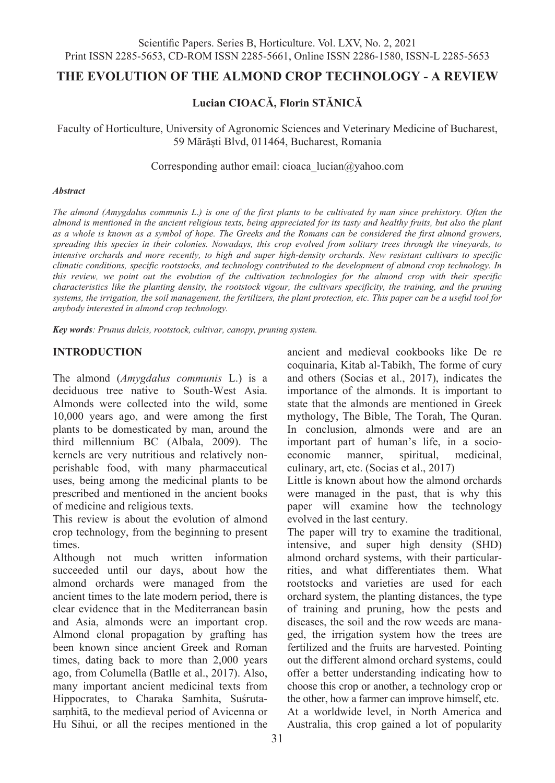# **THE EVOLUTION OF THE ALMOND CROP TECHNOLOGY - A REVIEW**

# **Lucian CIOACĂ, Florin STĂNICĂ**

Faculty of Horticulture, University of Agronomic Sciences and Veterinary Medicine of Bucharest, 59 Mărăști Blvd, 011464, Bucharest, Romania

Corresponding author email: cioaca\_lucian@yahoo.com

#### *Abstract*

*The almond (Amygdalus communis L*.*) is one of the first plants to be cultivated by man since prehistory. Often the*  almond is mentioned in the ancient religious texts, being appreciated for its tasty and healthy fruits, but also the plant *as a whole is known as a symbol of hope. The Greeks and the Romans can be considered the first almond growers, spreading this species in their colonies. Nowadays, this crop evolved from solitary trees through the vineyards, to intensive orchards and more recently, to high and super high-density orchards. New resistant cultivars to specific climatic conditions, specific rootstocks, and technology contributed to the development of almond crop technology. In this review, we point out the evolution of the cultivation technologies for the almond crop with their specific characteristics like the planting density, the rootstock vigour, the cultivars specificity, the training, and the pruning systems, the irrigation, the soil management, the fertilizers, the plant protection, etc. This paper can be a useful tool for anybody interested in almond crop technology.* 

*Key words: Prunus dulcis, rootstock, cultivar, canopy, pruning system.*

## **INTRODUCTION**

The almond (*Amygdalus communis* L.) is a deciduous tree native to South-West Asia. Almonds were collected into the wild, some 10,000 years ago, and were among the first plants to be domesticated by man, around the third millennium BC (Albala, 2009). The kernels are very nutritious and relatively nonperishable food, with many pharmaceutical uses, being among the medicinal plants to be prescribed and mentioned in the ancient books of medicine and religious texts.

This review is about the evolution of almond crop technology, from the beginning to present times.

Although not much written information succeeded until our days, about how the almond orchards were managed from the ancient times to the late modern period, there is clear evidence that in the Mediterranean basin and Asia, almonds were an important crop. Almond clonal propagation by grafting has been known since ancient Greek and Roman times, dating back to more than 2,000 years ago, from Columella (Batlle et al., 2017). Also, many important ancient medicinal texts from Hippocrates, to Charaka Samhita, Suśrutasaṃhitā, to the medieval period of Avicenna or Hu Sihui, or all the recipes mentioned in the ancient and medieval cookbooks like De re coquinaria, Kitab al-Tabikh, The forme of cury and others (Socias et al., 2017), indicates the importance of the almonds. It is important to state that the almonds are mentioned in Greek mythology, The Bible, The Torah, The Quran. In conclusion, almonds were and are an important part of human's life, in a socioeconomic manner, spiritual, medicinal, culinary, art, etc. (Socias et al., 2017)

Little is known about how the almond orchards were managed in the past, that is why this paper will examine how the technology evolved in the last century.

The paper will try to examine the traditional, intensive, and super high density (SHD) almond orchard systems, with their particularrities, and what differentiates them. What rootstocks and varieties are used for each orchard system, the planting distances, the type of training and pruning, how the pests and diseases, the soil and the row weeds are managed, the irrigation system how the trees are fertilized and the fruits are harvested. Pointing out the different almond orchard systems, could offer a better understanding indicating how to choose this crop or another, a technology crop or the other, how a farmer can improve himself, etc. At a worldwide level, in North America and Australia, this crop gained a lot of popularity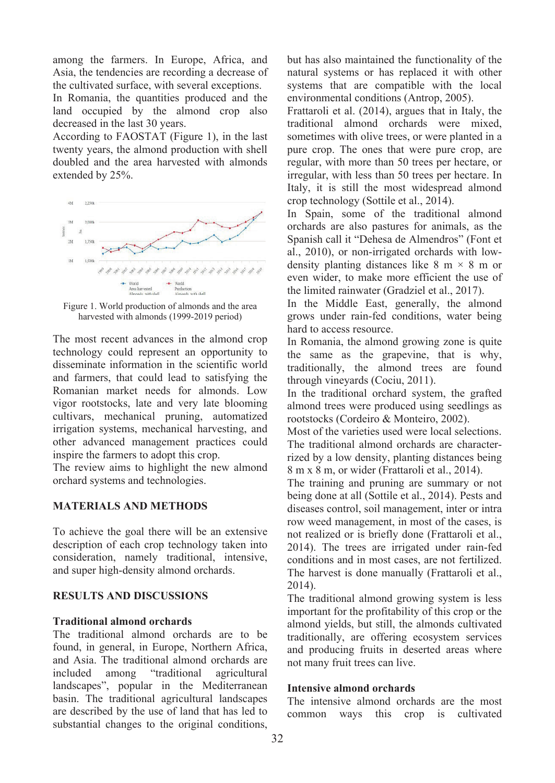among the farmers. In Europe, Africa, and Asia, the tendencies are recording a decrease of the cultivated surface, with several exceptions.

In Romania, the quantities produced and the land occupied by the almond crop also decreased in the last 30 years.

According to FAOSTAT (Figure 1), in the last twenty years, the almond production with shell doubled and the area harvested with almonds extended by 25%.



Figure 1. World production of almonds and the area harvested with almonds (1999-2019 period)

The most recent advances in the almond crop technology could represent an opportunity to disseminate information in the scientific world and farmers, that could lead to satisfying the Romanian market needs for almonds. Low vigor rootstocks, late and very late blooming cultivars, mechanical pruning, automatized irrigation systems, mechanical harvesting, and other advanced management practices could inspire the farmers to adopt this crop.

The review aims to highlight the new almond orchard systems and technologies.

### **MATERIALS AND METHODS**

To achieve the goal there will be an extensive description of each crop technology taken into consideration, namely traditional, intensive, and super high-density almond orchards.

### **RESULTS AND DISCUSSIONS**

#### **Traditional almond orchards**

The traditional almond orchards are to be found, in general, in Europe, Northern Africa, and Asia. The traditional almond orchards are included among "traditional agricultural landscapes", popular in the Mediterranean basin. The traditional agricultural landscapes are described by the use of land that has led to substantial changes to the original conditions, but has also maintained the functionality of the natural systems or has replaced it with other systems that are compatible with the local environmental conditions (Antrop, 2005).

Frattaroli et al. (2014), argues that in Italy, the traditional almond orchards were mixed, sometimes with olive trees, or were planted in a pure crop. The ones that were pure crop, are regular, with more than 50 trees per hectare, or irregular, with less than 50 trees per hectare. In Italy, it is still the most widespread almond crop technology (Sottile et al., 2014).

In Spain, some of the traditional almond orchards are also pastures for animals, as the Spanish call it "Dehesa de Almendros" (Font et al., 2010), or non-irrigated orchards with lowdensity planting distances like  $8 \text{ m} \times 8 \text{ m}$  or even wider, to make more efficient the use of the limited rainwater (Gradziel et al., 2017).

In the Middle East, generally, the almond grows under rain-fed conditions, water being hard to access resource.

In Romania, the almond growing zone is quite the same as the grapevine, that is why, traditionally, the almond trees are found through vineyards (Cociu, 2011).

In the traditional orchard system, the grafted almond trees were produced using seedlings as rootstocks (Cordeiro & Monteiro, 2002).

Most of the varieties used were local selections. The traditional almond orchards are characterrized by a low density, planting distances being 8 m x 8 m, or wider (Frattaroli et al., 2014).

The training and pruning are summary or not being done at all (Sottile et al., 2014). Pests and diseases control, soil management, inter or intra row weed management, in most of the cases, is not realized or is briefly done (Frattaroli et al., 2014). The trees are irrigated under rain-fed conditions and in most cases, are not fertilized. The harvest is done manually (Frattaroli et al., 2014).

The traditional almond growing system is less important for the profitability of this crop or the almond yields, but still, the almonds cultivated traditionally, are offering ecosystem services and producing fruits in deserted areas where not many fruit trees can live.

### **Intensive almond orchards**

The intensive almond orchards are the most common ways this crop is cultivated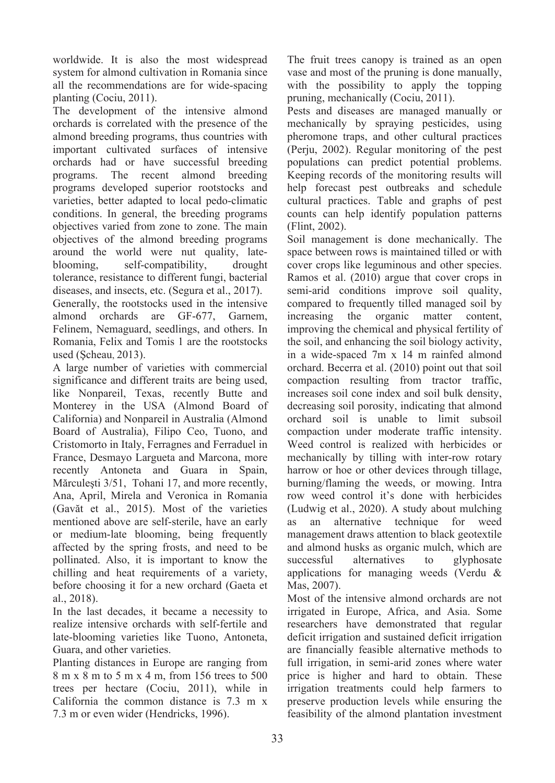worldwide. It is also the most widespread system for almond cultivation in Romania since all the recommendations are for wide-spacing planting (Cociu, 2011).

The development of the intensive almond orchards is correlated with the presence of the almond breeding programs, thus countries with important cultivated surfaces of intensive orchards had or have successful breeding programs. The recent almond breeding programs developed superior rootstocks and varieties, better adapted to local pedo-climatic conditions. In general, the breeding programs objectives varied from zone to zone. The main objectives of the almond breeding programs around the world were nut quality, late-<br>blooming. self-compatibility. drought self-compatibility, drought tolerance, resistance to different fungi, bacterial diseases, and insects, etc. (Segura et al., 2017). Generally, the rootstocks used in the intensive almond orchards are GF-677, Garnem, Felinem, Nemaguard, seedlings, and others. In Romania, Felix and Tomis 1 are the rootstocks

used (Şcheau, 2013). A large number of varieties with commercial significance and different traits are being used, like Nonpareil, Texas, recently Butte and Monterey in the USA (Almond Board of California) and Nonpareil in Australia (Almond Board of Australia), Filipo Ceo, Tuono, and Cristomorto in Italy, Ferragnes and Ferraduel in France, Desmayo Largueta and Marcona, more recently Antoneta and Guara in Spain, Mărculeşti 3/51, Tohani 17, and more recently, Ana, April, Mirela and Veronica in Romania (Gavăt et al., 2015). Most of the varieties mentioned above are self-sterile, have an early or medium-late blooming, being frequently affected by the spring frosts, and need to be pollinated. Also, it is important to know the chilling and heat requirements of a variety, before choosing it for a new orchard (Gaeta et al., 2018).

In the last decades, it became a necessity to realize intensive orchards with self-fertile and late-blooming varieties like Tuono, Antoneta, Guara, and other varieties.

Planting distances in Europe are ranging from 8 m x 8 m to 5 m x 4 m, from 156 trees to 500 trees per hectare (Cociu, 2011), while in California the common distance is 7.3 m x 7.3 m or even wider (Hendricks, 1996).

The fruit trees canopy is trained as an open vase and most of the pruning is done manually, with the possibility to apply the topping pruning, mechanically (Cociu, 2011).

Pests and diseases are managed manually or mechanically by spraying pesticides, using pheromone traps, and other cultural practices (Perju, 2002). Regular monitoring of the pest populations can predict potential problems. Keeping records of the monitoring results will help forecast pest outbreaks and schedule cultural practices. Table and graphs of pest counts can help identify population patterns (Flint, 2002).

Soil management is done mechanically. The space between rows is maintained tilled or with cover crops like leguminous and other species. Ramos et al. (2010) argue that cover crops in semi-arid conditions improve soil quality, compared to frequently tilled managed soil by increasing the organic matter content, improving the chemical and physical fertility of the soil, and enhancing the soil biology activity, in a wide-spaced 7m x 14 m rainfed almond orchard. Becerra et al. (2010) point out that soil compaction resulting from tractor traffic, increases soil cone index and soil bulk density, decreasing soil porosity, indicating that almond orchard soil is unable to limit subsoil compaction under moderate traffic intensity. Weed control is realized with herbicides or mechanically by tilling with inter-row rotary harrow or hoe or other devices through tillage, burning/flaming the weeds, or mowing. Intra row weed control it's done with herbicides (Ludwig et al., 2020). A study about mulching as an alternative technique for weed management draws attention to black geotextile and almond husks as organic mulch, which are successful alternatives to glyphosate applications for managing weeds (Verdu & Mas, 2007).

Most of the intensive almond orchards are not irrigated in Europe, Africa, and Asia. Some researchers have demonstrated that regular deficit irrigation and sustained deficit irrigation are financially feasible alternative methods to full irrigation, in semi-arid zones where water price is higher and hard to obtain. These irrigation treatments could help farmers to preserve production levels while ensuring the feasibility of the almond plantation investment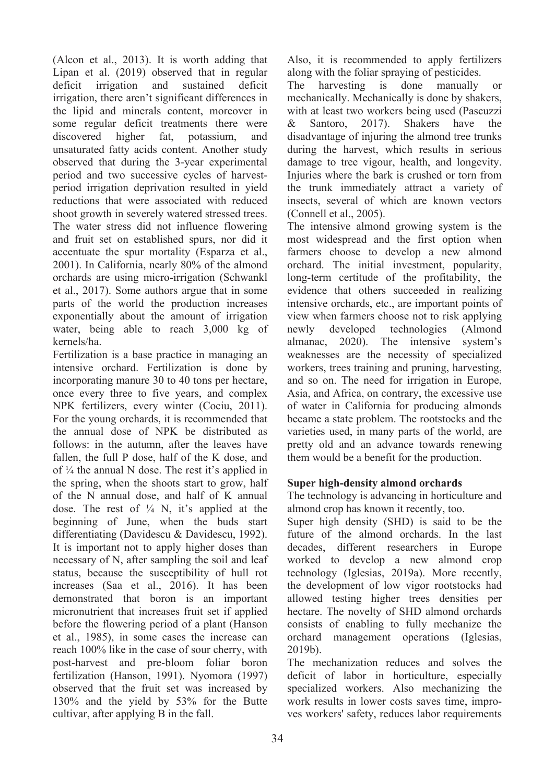(Alcon et al., 2013). It is worth adding that Lipan et al. (2019) observed that in regular deficit irrigation and sustained deficit irrigation, there aren't significant differences in the lipid and minerals content, moreover in some regular deficit treatments there were discovered higher fat, potassium, and unsaturated fatty acids content. Another study observed that during the 3-year experimental period and two successive cycles of harvestperiod irrigation deprivation resulted in yield reductions that were associated with reduced shoot growth in severely watered stressed trees. The water stress did not influence flowering and fruit set on established spurs, nor did it accentuate the spur mortality (Esparza et al., 2001). In California, nearly 80% of the almond orchards are using micro-irrigation (Schwankl et al., 2017). Some authors argue that in some parts of the world the production increases exponentially about the amount of irrigation water, being able to reach 3,000 kg of kernels/ha.

Fertilization is a base practice in managing an intensive orchard. Fertilization is done by incorporating manure 30 to 40 tons per hectare, once every three to five years, and complex NPK fertilizers, every winter (Cociu, 2011). For the young orchards, it is recommended that the annual dose of NPK be distributed as follows: in the autumn, after the leaves have fallen, the full P dose, half of the K dose, and of ¼ the annual N dose. The rest it's applied in the spring, when the shoots start to grow, half of the N annual dose, and half of K annual dose. The rest of  $\frac{1}{4}$  N, it's applied at the beginning of June, when the buds start differentiating (Davidescu & Davidescu, 1992). It is important not to apply higher doses than necessary of N, after sampling the soil and leaf status, because the susceptibility of hull rot increases (Saa et al., 2016). It has been demonstrated that boron is an important micronutrient that increases fruit set if applied before the flowering period of a plant (Hanson et al., 1985), in some cases the increase can reach 100% like in the case of sour cherry, with post-harvest and pre-bloom foliar boron fertilization (Hanson, 1991). Nyomora (1997) observed that the fruit set was increased by 130% and the yield by 53% for the Butte cultivar, after applying B in the fall.

Also, it is recommended to apply fertilizers along with the foliar spraying of pesticides.

The harvesting is done manually or mechanically. Mechanically is done by shakers, with at least two workers being used (Pascuzzi & Santoro, 2017). Shakers have the disadvantage of injuring the almond tree trunks during the harvest, which results in serious damage to tree vigour, health, and longevity. Injuries where the bark is crushed or torn from the trunk immediately attract a variety of insects, several of which are known vectors (Connell et al., 2005).

The intensive almond growing system is the most widespread and the first option when farmers choose to develop a new almond orchard. The initial investment, popularity, long-term certitude of the profitability, the evidence that others succeeded in realizing intensive orchards, etc., are important points of view when farmers choose not to risk applying newly developed technologies (Almond almanac, 2020). The intensive system's weaknesses are the necessity of specialized workers, trees training and pruning, harvesting, and so on. The need for irrigation in Europe, Asia, and Africa, on contrary, the excessive use of water in California for producing almonds became a state problem. The rootstocks and the varieties used, in many parts of the world, are pretty old and an advance towards renewing them would be a benefit for the production.

## **Super high-density almond orchards**

The technology is advancing in horticulture and almond crop has known it recently, too.

Super high density (SHD) is said to be the future of the almond orchards. In the last decades, different researchers in Europe worked to develop a new almond crop technology (Iglesias, 2019a). More recently, the development of low vigor rootstocks had allowed testing higher trees densities per hectare. The novelty of SHD almond orchards consists of enabling to fully mechanize the orchard management operations (Iglesias, 2019b).

The mechanization reduces and solves the deficit of labor in horticulture, especially specialized workers. Also mechanizing the work results in lower costs saves time, improves workers' safety, reduces labor requirements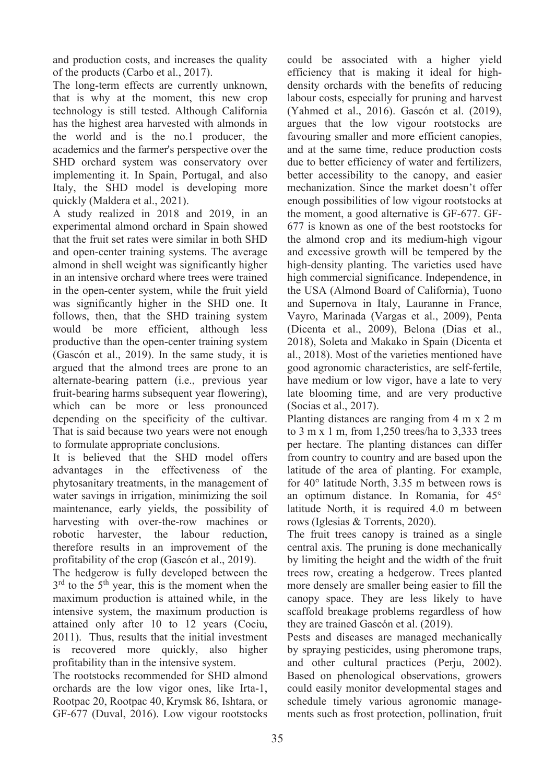and production costs, and increases the quality of the products (Carbo et al., 2017).

The long-term effects are currently unknown, that is why at the moment, this new crop technology is still tested. Although California has the highest area harvested with almonds in the world and is the no.1 producer, the academics and the farmer's perspective over the SHD orchard system was conservatory over implementing it. In Spain, Portugal, and also Italy, the SHD model is developing more quickly (Maldera et al., 2021).

A study realized in 2018 and 2019, in an experimental almond orchard in Spain showed that the fruit set rates were similar in both SHD and open-center training systems. The average almond in shell weight was significantly higher in an intensive orchard where trees were trained in the open-center system, while the fruit yield was significantly higher in the SHD one. It follows, then, that the SHD training system would be more efficient, although less productive than the open-center training system (Gascón et al., 2019). In the same study, it is argued that the almond trees are prone to an alternate-bearing pattern (i.e., previous year fruit-bearing harms subsequent year flowering), which can be more or less pronounced depending on the specificity of the cultivar. That is said because two years were not enough to formulate appropriate conclusions.

It is believed that the SHD model offers advantages in the effectiveness of the phytosanitary treatments, in the management of water savings in irrigation, minimizing the soil maintenance, early yields, the possibility of harvesting with over-the-row machines or robotic harvester, the labour reduction, therefore results in an improvement of the profitability of the crop (Gascón et al., 2019).

The hedgerow is fully developed between the  $3<sup>rd</sup>$  to the  $5<sup>th</sup>$  year, this is the moment when the maximum production is attained while, in the intensive system, the maximum production is attained only after 10 to 12 years (Cociu, 2011). Thus, results that the initial investment is recovered more quickly, also higher profitability than in the intensive system.

The rootstocks recommended for SHD almond orchards are the low vigor ones, like Irta-1, Rootpac 20, Rootpac 40, Krymsk 86, Ishtara, or GF-677 (Duval, 2016). Low vigour rootstocks could be associated with a higher yield efficiency that is making it ideal for highdensity orchards with the benefits of reducing labour costs, especially for pruning and harvest (Yahmed et al., 2016). Gascón et al. (2019), argues that the low vigour rootstocks are favouring smaller and more efficient canopies, and at the same time, reduce production costs due to better efficiency of water and fertilizers, better accessibility to the canopy, and easier mechanization. Since the market doesn't offer enough possibilities of low vigour rootstocks at the moment, a good alternative is GF-677. GF-677 is known as one of the best rootstocks for the almond crop and its medium-high vigour and excessive growth will be tempered by the high-density planting. The varieties used have high commercial significance. Independence, in the USA (Almond Board of California), Tuono and Supernova in Italy, Lauranne in France, Vayro, Marinada (Vargas et al., 2009), Penta (Dicenta et al., 2009), Belona (Dias et al., 2018), Soleta and Makako in Spain (Dicenta et al., 2018). Most of the varieties mentioned have good agronomic characteristics, are self-fertile, have medium or low vigor, have a late to very late blooming time, and are very productive (Socias et al., 2017).

Planting distances are ranging from 4 m x 2 m to 3 m x 1 m, from 1,250 trees/ha to 3,333 trees per hectare. The planting distances can differ from country to country and are based upon the latitude of the area of planting. For example, for 40° latitude North, 3.35 m between rows is an optimum distance. In Romania, for 45° latitude North, it is required 4.0 m between rows (Iglesias & Torrents, 2020).

The fruit trees canopy is trained as a single central axis. The pruning is done mechanically by limiting the height and the width of the fruit trees row, creating a hedgerow. Trees planted more densely are smaller being easier to fill the canopy space. They are less likely to have scaffold breakage problems regardless of how they are trained Gascón et al. (2019).

Pests and diseases are managed mechanically by spraying pesticides, using pheromone traps, and other cultural practices (Perju, 2002). Based on phenological observations, growers could easily monitor developmental stages and schedule timely various agronomic managements such as frost protection, pollination, fruit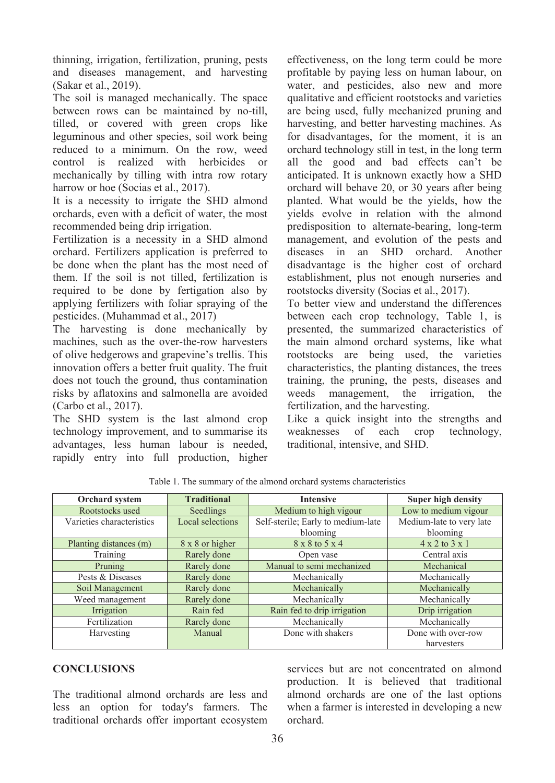thinning, irrigation, fertilization, pruning, pests and diseases management, and harvesting (Sakar et al., 2019).

The soil is managed mechanically. The space between rows can be maintained by no-till, tilled, or covered with green crops like leguminous and other species, soil work being reduced to a minimum. On the row, weed control is realized with herbicides or mechanically by tilling with intra row rotary harrow or hoe (Socias et al., 2017).

It is a necessity to irrigate the SHD almond orchards, even with a deficit of water, the most recommended being drip irrigation.

Fertilization is a necessity in a SHD almond orchard. Fertilizers application is preferred to be done when the plant has the most need of them. If the soil is not tilled, fertilization is required to be done by fertigation also by applying fertilizers with foliar spraying of the pesticides. (Muhammad et al., 2017)

The harvesting is done mechanically by machines, such as the over-the-row harvesters of olive hedgerows and grapevine's trellis. This innovation offers a better fruit quality. The fruit does not touch the ground, thus contamination risks by aflatoxins and salmonella are avoided (Carbo et al., 2017).

The SHD system is the last almond crop technology improvement, and to summarise its advantages, less human labour is needed, rapidly entry into full production, higher effectiveness, on the long term could be more profitable by paying less on human labour, on water, and pesticides, also new and more qualitative and efficient rootstocks and varieties are being used, fully mechanized pruning and harvesting, and better harvesting machines. As for disadvantages, for the moment, it is an orchard technology still in test, in the long term all the good and bad effects can't be anticipated. It is unknown exactly how a SHD orchard will behave 20, or 30 years after being planted. What would be the yields, how the yields evolve in relation with the almond predisposition to alternate-bearing, long-term management, and evolution of the pests and<br>diseases in an SHD orchard Another diseases in an SHD orchard disadvantage is the higher cost of orchard establishment, plus not enough nurseries and rootstocks diversity (Socias et al., 2017).

To better view and understand the differences between each crop technology, Table 1, is presented, the summarized characteristics of the main almond orchard systems, like what rootstocks are being used, the varieties characteristics, the planting distances, the trees training, the pruning, the pests, diseases and weeds management, the irrigation, the fertilization, and the harvesting.

Like a quick insight into the strengths and weaknesses of each crop technology, traditional, intensive, and SHD.

| <b>Orchard</b> system     | <b>Traditional</b> | <b>Intensive</b>                   | <b>Super high density</b>    |
|---------------------------|--------------------|------------------------------------|------------------------------|
| Rootstocks used           | Seedlings          | Medium to high vigour              | Low to medium vigour         |
| Varieties characteristics | Local selections   | Self-sterile; Early to medium-late | Medium-late to very late     |
|                           |                    | blooming                           | blooming                     |
| Planting distances (m)    | 8 x 8 or higher    | 8 x 8 to 5 x 4                     | $4 \times 2$ to $3 \times 1$ |
| Training                  | Rarely done        | Open vase                          | Central axis                 |
| Pruning                   | Rarely done        | Manual to semi mechanized          | Mechanical                   |
| Pests & Diseases          | Rarely done        | Mechanically                       | Mechanically                 |
| Soil Management           | Rarely done        | Mechanically                       | Mechanically                 |
| Weed management           | Rarely done        | Mechanically                       | Mechanically                 |
| Irrigation                | Rain fed           | Rain fed to drip irrigation        | Drip irrigation              |
| Fertilization             | Rarely done        | Mechanically                       | Mechanically                 |
| Harvesting                | Manual             | Done with shakers                  | Done with over-row           |
|                           |                    |                                    | harvesters                   |

Table 1. The summary of the almond orchard systems characteristics

# **CONCLUSIONS**

The traditional almond orchards are less and less an option for today's farmers. The traditional orchards offer important ecosystem services but are not concentrated on almond production. It is believed that traditional almond orchards are one of the last options when a farmer is interested in developing a new orchard.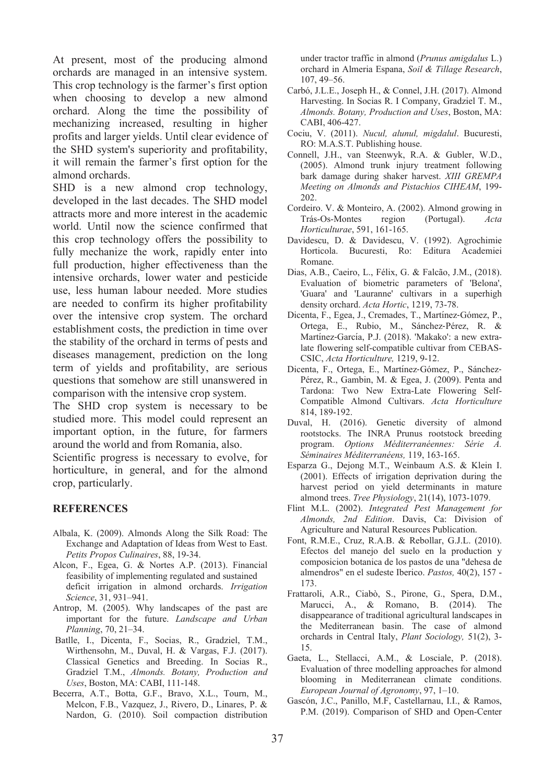At present, most of the producing almond orchards are managed in an intensive system. This crop technology is the farmer's first option when choosing to develop a new almond orchard. Along the time the possibility of mechanizing increased, resulting in higher profits and larger yields. Until clear evidence of the SHD system's superiority and profitability, it will remain the farmer's first option for the almond orchards.

SHD is a new almond crop technology, developed in the last decades. The SHD model attracts more and more interest in the academic world. Until now the science confirmed that this crop technology offers the possibility to fully mechanize the work, rapidly enter into full production, higher effectiveness than the intensive orchards, lower water and pesticide use, less human labour needed. More studies are needed to confirm its higher profitability over the intensive crop system. The orchard establishment costs, the prediction in time over the stability of the orchard in terms of pests and diseases management, prediction on the long term of yields and profitability, are serious questions that somehow are still unanswered in comparison with the intensive crop system.

The SHD crop system is necessary to be studied more. This model could represent an important option, in the future, for farmers around the world and from Romania, also.

Scientific progress is necessary to evolve, for horticulture, in general, and for the almond crop, particularly.

### **REFERENCES**

- Albala, K. (2009). Almonds Along the Silk Road: The Exchange and Adaptation of Ideas from West to East. *Petits Propos Culinaires*, 88, 19-34.
- Alcon, F., Egea, G. & Nortes A.P. (2013). Financial feasibility of implementing regulated and sustained deficit irrigation in almond orchards. *Irrigation Science*, 31, 931–941.
- Antrop, M. (2005). Why landscapes of the past are important for the future. *Landscape and Urban Planning*, 70, 21–34.
- Batlle, I., Dicenta, F., Socias, R., Gradziel, T.M., Wirthensohn, M., Duval, H. & Vargas, F.J. (2017). Classical Genetics and Breeding. In Socias R., Gradziel T.M., *Almonds. Botany, Production and Uses*, Boston, MA: CABI, 111-148.
- Becerra, A.T., Botta, G.F., Bravo, X.L., Tourn, M., Melcon, F.B., Vazquez, J., Rivero, D., Linares, P. & Nardon, G. (2010). Soil compaction distribution

under tractor traffic in almond (*Prunus amigdalus* L.) orchard in Almeria Espana, *Soil & Tillage Research*, 107, 49–56.

- Carbó, J.L.E., Joseph H., & Connel, J.H. (2017). Almond Harvesting. In Socias R. I Company, Gradziel T. M., *Almonds. Botany, Production and Uses*, Boston, MA: CABI, 406-427.
- Cociu, V. (2011). *Nucul, alunul, migdalul*. Bucuresti, RO: M.A.S.T. Publishing house.
- Connell, J.H., van Steenwyk, R.A. & Gubler, W.D., (2005). Almond trunk injury treatment following bark damage during shaker harvest. *XIII GREMPA Meeting on Almonds and Pistachios CIHEAM*, 199- 202.
- Cordeiro. V. & Monteiro, A. (2002). Almond growing in<br>Trás-Os-Montes region (Portugal). Acta Trás-Os-Montes *Horticulturae*, 591, 161-165.
- Davidescu, D. & Davidescu, V. (1992). Agrochimie Horticola. Bucuresti, Ro: Editura Academiei Romane.
- Dias, A.B., Caeiro, L., Félix, G. & Falcão, J.M., (2018). Evaluation of biometric parameters of 'Belona', 'Guara' and 'Lauranne' cultivars in a superhigh density orchard. *Acta Hortic*, 1219, 73-78.
- Dicenta, F., Egea, J., Cremades, T., Martínez-Gómez, P., Ortega, E., Rubio, M., Sánchez‐Pérez, R. & Martínez-García, P.J. (2018). 'Makako': a new extralate flowering self-compatible cultivar from CEBAS-CSIC, *Acta Horticulture,* 1219, 9-12.
- Dicenta, F., Ortega, E., Martínez-Gómez, P., Sánchez-Pérez, R., Gambin, M. & Egea, J. (2009). Penta and Tardona: Two New Extra-Late Flowering Self-Compatible Almond Cultivars. *Acta Horticulture*  814, 189-192.
- Duval, H. (2016). Genetic diversity of almond rootstocks. The INRA Prunus rootstock breeding program. *Options Méditerranéennes: Série A. Séminaires Méditerranéens,* 119, 163-165.
- Esparza G., Dejong M.T., Weinbaum A.S. & Klein I. (2001). Effects of irrigation deprivation during the harvest period on yield determinants in mature almond trees. *Tree Physiology*, 21(14), 1073-1079.
- Flint M.L. (2002). *Integrated Pest Management for Almonds, 2nd Edition*. Davis, Ca: Division of Agriculture and Natural Resources Publication.
- Font, R.M.E., Cruz, R.A.B. & Rebollar, G.J.L. (2010). Efectos del manejo del suelo en la production y composicion botanica de los pastos de una "dehesa de almendros" en el sudeste Iberico. *Pastos,* 40(2), 157 - 173.
- Frattaroli, A.R., Ciabò, S., Pirone, G., Spera, D.M., Marucci, A., & Romano, B. (2014). The disappearance of traditional agricultural landscapes in the Mediterranean basin. The case of almond orchards in Central Italy, *Plant Sociology,* 51(2), 3- 15.
- Gaeta, L., Stellacci, A.M., & Losciale, P. (2018). Evaluation of three modelling approaches for almond blooming in Mediterranean climate conditions. *European Journal of Agronomy*, 97, 1–10.
- Gascón, J.C., Panillo, M.F, Castellarnau, I.I., & Ramos, P.M. (2019). Comparison of SHD and Open-Center